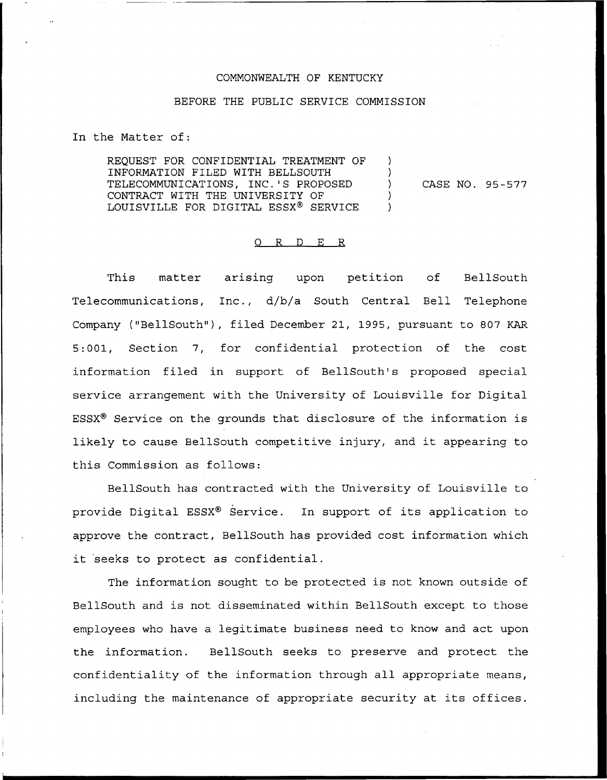## COMMONWEALTH OF KENTUCKY

## BEFORE THE PUBLIC SERVICE COMMISSION

In the Matter of:

REQUEST FOR CONFIDENTIAL TREATMENT OF INFORMATION FILED WITH BELLSOUTH TELECOMMUNICATIONS, INC.'S PROPOSED CONTRACT WITH THE UNIVERSITY OF LOUISVILLE FOR DIGITAL ESSX® SERVICE

) CASE NO. 95-577

) )

) )

## 0 R <sup>D</sup> E R

This matter arising upon petition of BellSouth Telecommunications, Inc., d/b/a South Central Bell Telephone Company ("BellSouth"), filed December 21, 1995, pursuant to 807 KAR 5:001, Section 7, for confidential protection of the cost information filed in support of BellSouth's proposed special service arrangement with the University of Louisville for Digital ESSX<sup>®</sup> Service on the grounds that disclosure of the information is likely to cause BellSouth competitive injury, and it appearing to this Commission as follows:

BellSouth has contracted with the University of Louisville to provide Digital ESSX® Service. In support of its application to approve the contract, BellSouth has provided cost information which it seeks to protect as confidential.

The information sought to be protected is not known outside of BellSouth and is not disseminated within BellSouth except to those employees who have a legitimate business need to know and act upon the information. BellSouth seeks to preserve and protect the confidentiality of the information through all appropriate means, including the maintenance of appropriate security at its offices.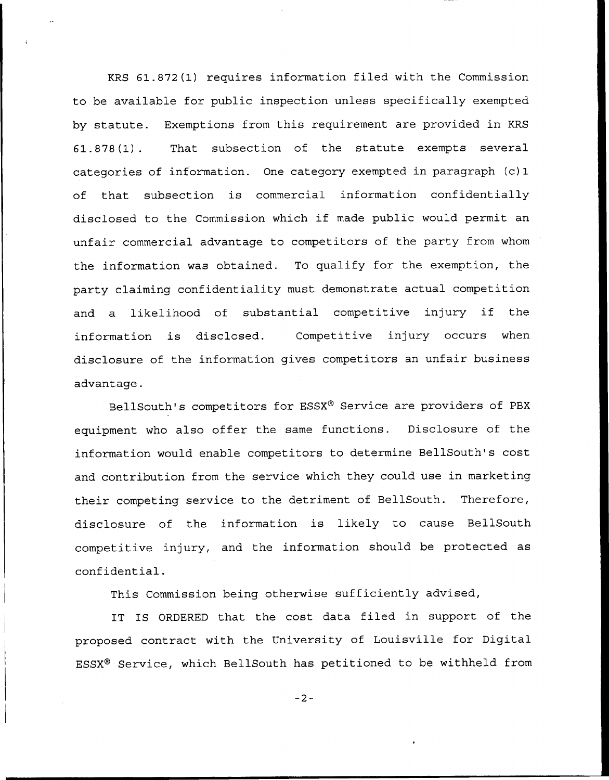KRS 61.872(1) requires information filed with the Commission to be available for public inspection unless specifically exempted by statute. Exemptions from this requirement are provided in KRS 61.878(1). That subsection of the statute exempts several categories of information. One category exempted in paragraph (c)1 of that subsection is commercial information confidentially disclosed to the Commission which if made public would permit an unfair commercial advantage to competitors of the party from whom the information was obtained. To qualify for the exemption, the party claiming confidentiality must demonstrate actual competition and <sup>a</sup> likelihood of substantial competitive injury if the information is disclosed. Competitive injury occurs when disclosure of the information gives competitors an unfair business advantage.

BellSouth's competitors for ESSX® Service are providers of PBX equipment who also offer the same functions. Disclosure of the information would enable competitors to determine BellSouth's cost and contribution from the service which they could use in marketing their competing service to the detriment of BellSouth. Therefore, disclosure of the information is likely to cause BellSouth competitive injury, and the information should be protected as confidential.

This Commission being otherwise sufficiently advised,

IT IS ORDERED that the cost data filed in support of the proposed contract with the University of Louisville for Digital ESSX® Service, which BellSouth has petitioned to be withheld from

 $-2-$